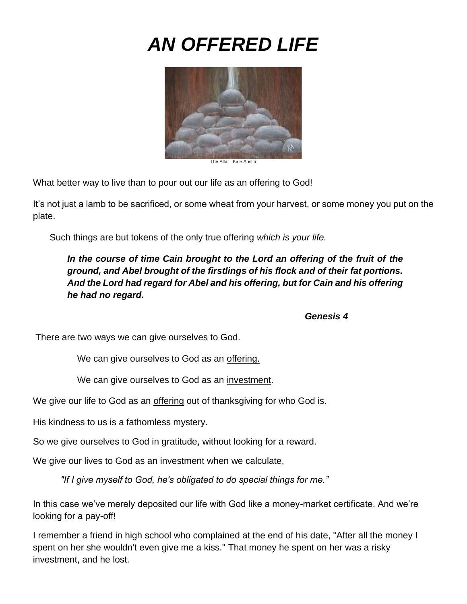# *AN OFFERED LIFE*



The Altar Kate Austin

What better way to live than to pour out our life as an offering to God!

It's not just a lamb to be sacrificed, or some wheat from your harvest, or some money you put on the plate.

Such things are but tokens of the only true offering *which is your life.*

In the course of time Cain brought to the Lord an offering of the fruit of the *ground, and Abel brought of the firstlings of his flock and of their fat portions. And the Lord had regard for Abel and his offering, but for Cain and his offering he had no regard.* 

*Genesis 4*

There are two ways we can give ourselves to God.

We can give ourselves to God as an offering.

We can give ourselves to God as an investment.

We give our life to God as an offering out of thanksgiving for who God is.

His kindness to us is a fathomless mystery.

So we give ourselves to God in gratitude, without looking for a reward.

We give our lives to God as an investment when we calculate,

*"If I give myself to God, he's obligated to do special things for me."*

In this case we've merely deposited our life with God like a money-market certificate. And we're looking for a pay-off!

I remember a friend in high school who complained at the end of his date, "After all the money I spent on her she wouldn't even give me a kiss." That money he spent on her was a risky investment, and he lost.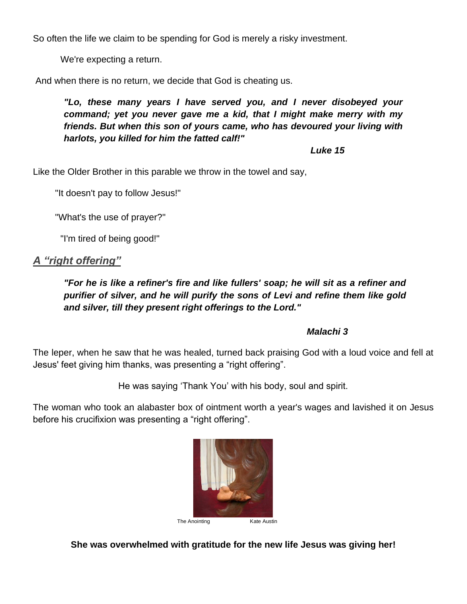So often the life we claim to be spending for God is merely a risky investment.

We're expecting a return.

And when there is no return, we decide that God is cheating us.

*"Lo, these many years I have served you, and I never disobeyed your command; yet you never gave me a kid, that I might make merry with my friends. But when this son of yours came, who has devoured your living with harlots, you killed for him the fatted calf!"*

*Luke 15*

Like the Older Brother in this parable we throw in the towel and say,

"It doesn't pay to follow Jesus!"

"What's the use of prayer?"

"I'm tired of being good!"

## *A "right offering"*

*"For he is like a refiner's fire and like fullers' soap; he will sit as a refiner and purifier of silver, and he will purify the sons of Levi and refine them like gold and silver, till they present right offerings to the Lord."* 

#### *Malachi 3*

The leper, when he saw that he was healed, turned back praising God with a loud voice and fell at Jesus' feet giving him thanks, was presenting a "right offering".

He was saying 'Thank You' with his body, soul and spirit.

The woman who took an alabaster box of ointment worth a year's wages and lavished it on Jesus before his crucifixion was presenting a "right offering".



**She was overwhelmed with gratitude for the new life Jesus was giving her!**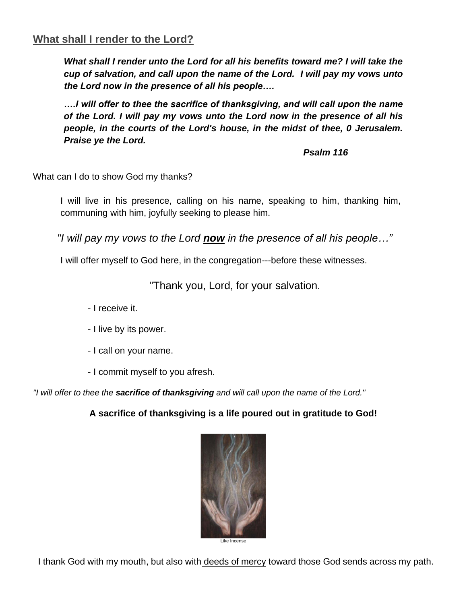# **What shall I render to the Lord?**

*What shall I render unto the Lord for all his benefits toward me? I will take the cup of salvation, and call upon the name of the Lord. I will pay my vows unto the Lord now in the presence of all his people….* 

*….I will offer to thee the sacrifice of thanksgiving, and will call upon the name of the Lord. I will pay my vows unto the Lord now in the presence of all his people, in the courts of the Lord's house, in the midst of thee, 0 Jerusalem. Praise ye the Lord.*

#### *Psalm 116*

What can I do to show God my thanks?

I will live in his presence, calling on his name, speaking to him, thanking him, communing with him, joyfully seeking to please him.

*"I will pay my vows to the Lord now in the presence of all his people…"*

I will offer myself to God here, in the congregation---before these witnesses.

"Thank you, Lord, for your salvation.

- I receive it.

- I live by its power.
- I call on your name.
- I commit myself to you afresh.

*"I will offer to thee the sacrifice of thanksgiving and will call upon the name of the Lord."*

**A sacrifice of thanksgiving is a life poured out in gratitude to God!**



Like Incense

I thank God with my mouth, but also with deeds of mercy toward those God sends across my path.